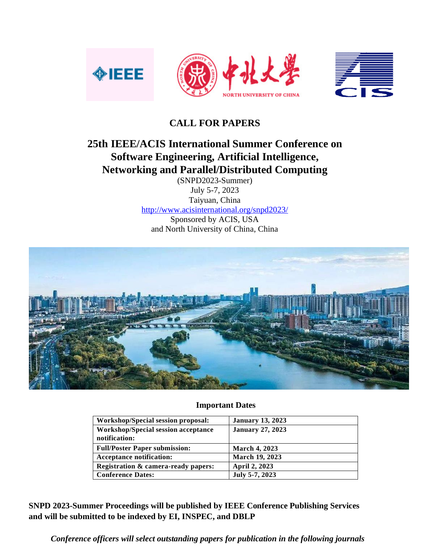

## **CALL FOR PAPERS**

# **25th IEEE/ACIS International Summer Conference on Software Engineering, Artificial Intelligence, Networking and Parallel/Distributed Computing**

(SNPD2023-Summer) July 5-7, 2023 Taiyuan, China <http://www.acisinternational.org/snpd2023/> Sponsored by ACIS, USA and North University of China, China



### **Important Dates**

| Workshop/Special session proposal:                          | <b>January 13, 2023</b> |
|-------------------------------------------------------------|-------------------------|
| <b>Workshop/Special session acceptance</b><br>notification: | <b>January 27, 2023</b> |
| <b>Full/Poster Paper submission:</b>                        | <b>March 4, 2023</b>    |
| <b>Acceptance notification:</b>                             | March 19, 2023          |
| Registration & camera-ready papers:                         | April 2, 2023           |
| <b>Conference Dates:</b>                                    | July 5-7, 2023          |

**SNPD 2023-Summer Proceedings will be published by IEEE Conference Publishing Services and will be submitted to be indexed by EI, INSPEC, and DBLP**

*Conference officers will select outstanding papers for publication in the following journals*